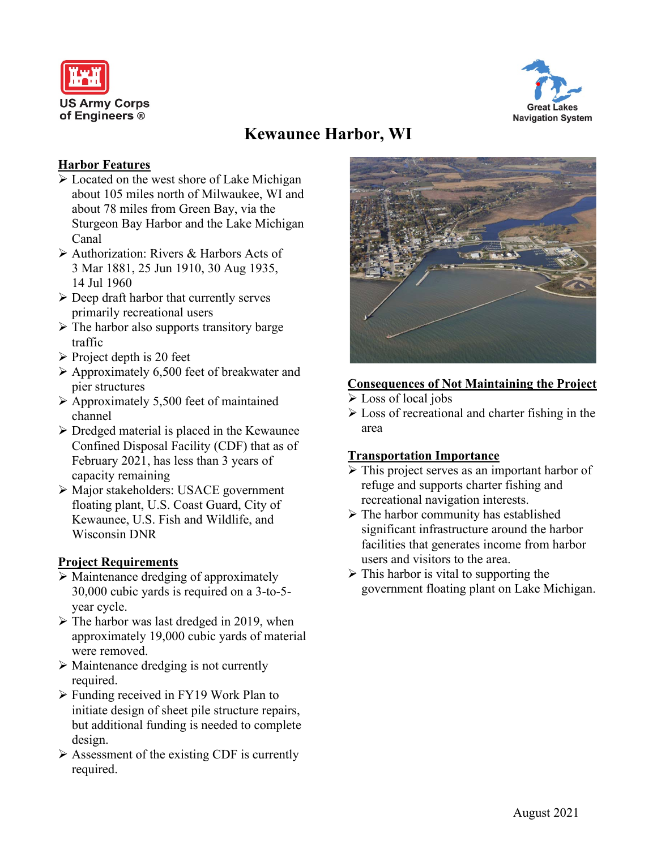



# **Kewaunee Harbor, WI**

### **Harbor Features**

- $\triangleright$  Located on the west shore of Lake Michigan about 105 miles north of Milwaukee, WI and about 78 miles from Green Bay, via the Sturgeon Bay Harbor and the Lake Michigan Canal
- Authorization: Rivers & Harbors Acts of 3 Mar 1881, 25 Jun 1910, 30 Aug 1935, 14 Jul 1960
- $\triangleright$  Deep draft harbor that currently serves primarily recreational users
- $\triangleright$  The harbor also supports transitory barge traffic
- $\triangleright$  Project depth is 20 feet
- $\triangleright$  Approximately 6,500 feet of breakwater and pier structures
- $\triangleright$  Approximately 5,500 feet of maintained channel
- $\triangleright$  Dredged material is placed in the Kewaunee Confined Disposal Facility (CDF) that as of February 2021, has less than 3 years of capacity remaining
- Major stakeholders: USACE government floating plant, U.S. Coast Guard, City of Kewaunee, U.S. Fish and Wildlife, and Wisconsin DNR

# **Project Requirements**

- $\triangleright$  Maintenance dredging of approximately 30,000 cubic yards is required on a 3-to-5 year cycle.
- $\triangleright$  The harbor was last dredged in 2019, when approximately 19,000 cubic yards of material were removed.
- $\triangleright$  Maintenance dredging is not currently required.
- $\triangleright$  Funding received in FY19 Work Plan to initiate design of sheet pile structure repairs, but additional funding is needed to complete design.
- Assessment of the existing CDF is currently required.



# **Consequences of Not Maintaining the Project**

- Loss of local jobs
- Loss of recreational and charter fishing in the area

# **Transportation Importance**

- $\triangleright$  This project serves as an important harbor of refuge and supports charter fishing and recreational navigation interests.
- $\triangleright$  The harbor community has established significant infrastructure around the harbor facilities that generates income from harbor users and visitors to the area.
- $\triangleright$  This harbor is vital to supporting the government floating plant on Lake Michigan.